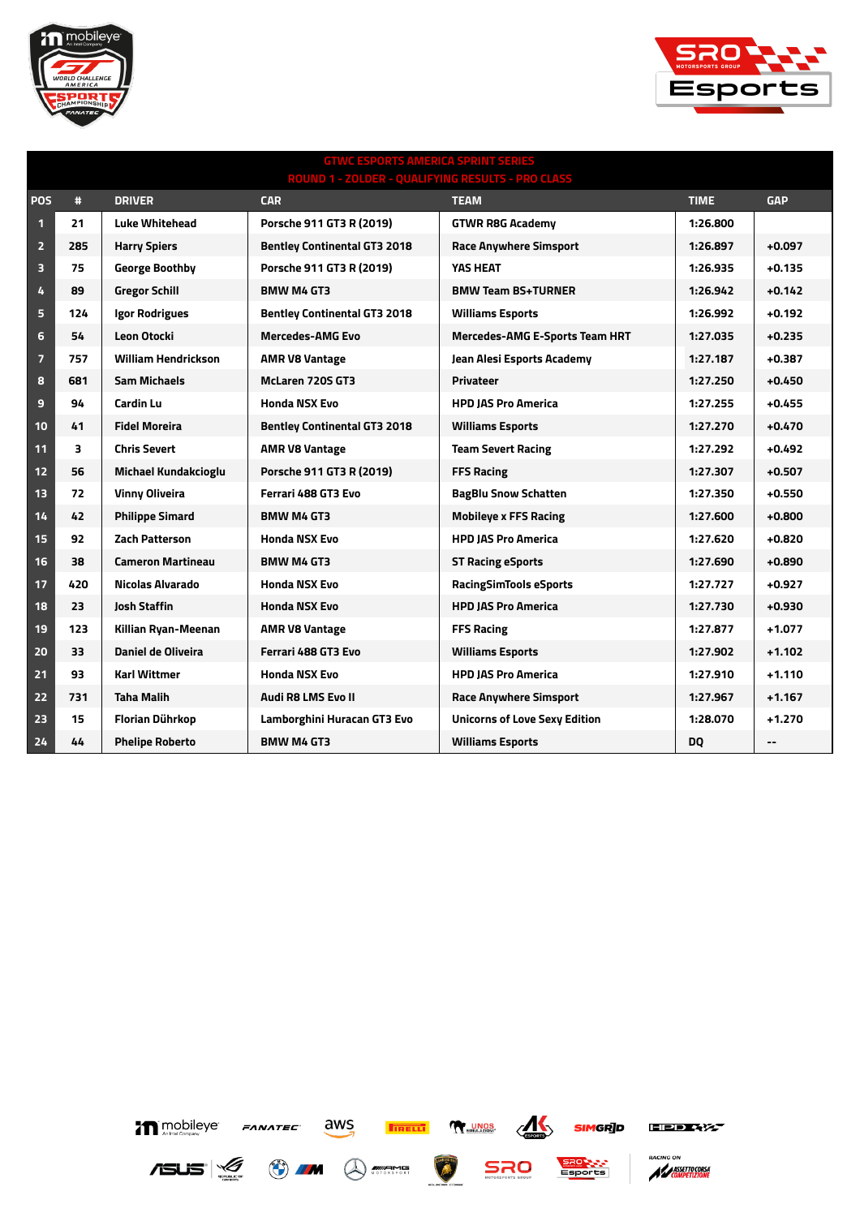



## **GTWC ESPORTS AMERICA SPRINT SERIES ROUND 1 - ZOLDER - QUALIFYING RESULTS - PRO CLASS POS # DRIVER CAR TEAM TIME GAP 21 Luke Whitehead Porsche 911 GT3 R (2019) GTWR R8G Academy 1:26.800 285 Harry Spiers Bentley Continental GT3 2018 Race Anywhere Simsport 1:26.897 +0.097 75 George Boothby Porsche 911 GT3 R (2019) YAS HEAT 1:26.935 +0.135 89 Gregor Schill BMW M4 GT3 BMW Team BS+TURNER 1:26.942 +0.142 124 Igor Rodrigues Bentley Continental GT3 2018 Williams Esports 1:26.992 +0.192 54 Leon Otocki Mercedes-AMG Evo Mercedes-AMG E-Sports Team HRT 1:27.035 +0.235 757 William Hendrickson AMR V8 Vantage Jean Alesi Esports Academy 1:27.187 +0.387 681 Sam Michaels McLaren 720S GT3 Privateer 1:27.250 +0.450 94 Cardin Lu Honda NSX Evo HPD JAS Pro America 1:27.255 +0.455 41 Fidel Moreira Bentley Continental GT3 2018 Williams Esports 1:27.270 +0.470 3 Chris Severt AMR V8 Vantage Team Severt Racing 1:27.292 +0.492 56 Michael Kundakcioglu Porsche 911 GT3 R (2019) FFS Racing 1:27.307 +0.507 72 Vinny Oliveira Ferrari 488 GT3 Evo BagBlu Snow Schatten 1:27.350 +0.550 42 Philippe Simard BMW M4 GT3 Mobileye x FFS Racing 1:27.600 +0.800 92 Zach Patterson Honda NSX Evo HPD JAS Pro America 1:27.620 +0.820 38 Cameron Martineau BMW M4 GT3 ST Racing eSports 1:27.690 +0.890 420 Nicolas Alvarado Honda NSX Evo RacingSimTools eSports 1:27.727 +0.927 23 Josh Staffin Honda NSX Evo HPD JAS Pro America 1:27.730 +0.930 123 Killian Ryan-Meenan AMR V8 Vantage FFS Racing 1:27.877 +1.077 33 Daniel de Oliveira Ferrari 488 GT3 Evo Williams Esports 1:27.902 +1.102 93 Karl Wittmer Honda NSX Evo HPD JAS Pro America 1:27.910 +1.110 731 Taha Malih Audi R8 LMS Evo II Race Anywhere Simsport 1:27.967 +1.167 15 Florian Dührkop Lamborghini Huracan GT3 Evo Unicorns of Love Sexy Edition 1:28.070 +1.270 44 Phelipe Roberto BMW M4 GT3 Williams Esports DQ --**





л

**NY UNOS**